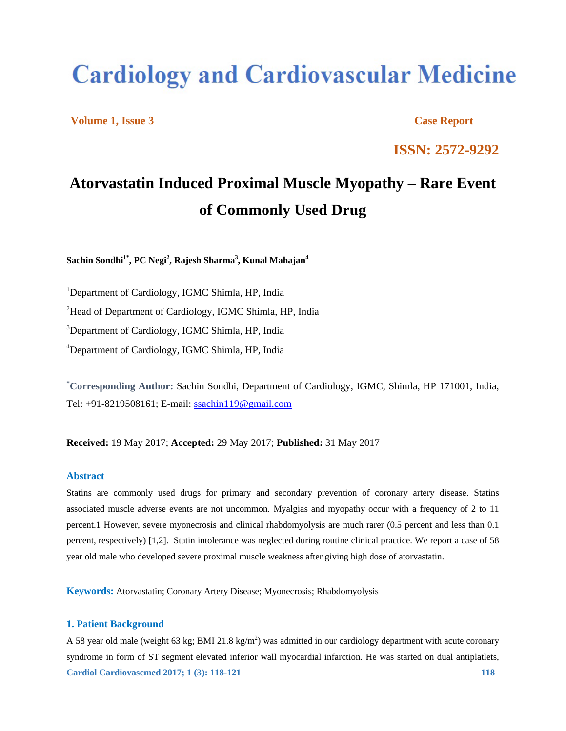# **Cardiology and Cardiovascular Medicine**

**Volume 1, Issue 3 Case Report** 

**ISSN: 2572-9292** 

# **Atorvastatin Induced Proximal Muscle Myopathy – Rare Event of Commonly Used Drug**

 $\mathbf{Sachin}\ \mathbf{Sondhi}^{1^{\ast}}, \mathbf{PC}\ \mathbf{Negi}^{2},\mathbf{Rajesh}\ \mathbf{Sharma}^{3},\mathbf{Kunal}\ \mathbf{Mahajan}^{4}$ 

<sup>1</sup>Department of Cardiology, IGMC Shimla, HP, India <sup>2</sup>Head of Department of Cardiology, IGMC Shimla, HP, India <sup>3</sup>Department of Cardiology, IGMC Shimla, HP, India <sup>4</sup>Department of Cardiology, IGMC Shimla, HP, India

**\* Corresponding Author:** Sachin Sondhi, Department of Cardiology, IGMC, Shimla, HP 171001, India, Tel: +91-8219508161; E-mail: ssachin119@gmail.com

**Received:** 19 May 2017; **Accepted:** 29 May 2017; **Published:** 31 May 2017

## **Abstract**

Statins are commonly used drugs for primary and secondary prevention of coronary artery disease. Statins associated muscle adverse events are not uncommon. Myalgias and myopathy occur with a frequency of 2 to 11 percent.1 However, severe myonecrosis and clinical rhabdomyolysis are much rarer (0.5 percent and less than 0.1 percent, respectively) [1,2]. Statin intolerance was neglected during routine clinical practice. We report a case of 58 year old male who developed severe proximal muscle weakness after giving high dose of atorvastatin.

**Keywords:** Atorvastatin; Coronary Artery Disease; Myonecrosis; Rhabdomyolysis

# **1. Patient Background**

**Cardiol Cardiovascmed 2017; 1 (3): 118-121 118**  118 A 58 year old male (weight 63 kg; BMI 21.8 kg/m<sup>2</sup>) was admitted in our cardiology department with acute coronary syndrome in form of ST segment elevated inferior wall myocardial infarction. He was started on dual antiplatlets,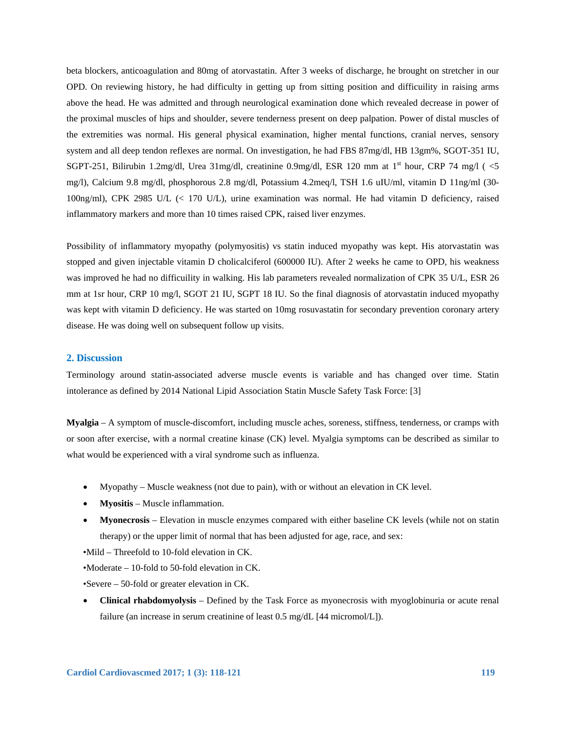beta blockers, anticoagulation and 80mg of atorvastatin. After 3 weeks of discharge, he brought on stretcher in our OPD. On reviewing history, he had difficulty in getting up from sitting position and difficuility in raising arms above the head. He was admitted and through neurological examination done which revealed decrease in power of the proximal muscles of hips and shoulder, severe tenderness present on deep palpation. Power of distal muscles of the extremities was normal. His general physical examination, higher mental functions, cranial nerves, sensory system and all deep tendon reflexes are normal. On investigation, he had FBS 87mg/dl, HB 13gm%, SGOT-351 IU, SGPT-251, Bilirubin 1.2mg/dl, Urea 31mg/dl, creatinine 0.9mg/dl, ESR 120 mm at 1<sup>st</sup> hour, CRP 74 mg/l ( $\leq$ 5 mg/l), Calcium 9.8 mg/dl, phosphorous 2.8 mg/dl, Potassium 4.2meq/l, TSH 1.6 uIU/ml, vitamin D 11ng/ml (30- 100ng/ml), CPK 2985 U/L (< 170 U/L), urine examination was normal. He had vitamin D deficiency, raised inflammatory markers and more than 10 times raised CPK, raised liver enzymes.

Possibility of inflammatory myopathy (polymyositis) vs statin induced myopathy was kept. His atorvastatin was stopped and given injectable vitamin D cholicalciferol (600000 IU). After 2 weeks he came to OPD, his weakness was improved he had no difficuility in walking. His lab parameters revealed normalization of CPK 35 U/L, ESR 26 mm at 1sr hour, CRP 10 mg/l, SGOT 21 IU, SGPT 18 IU. So the final diagnosis of atorvastatin induced myopathy was kept with vitamin D deficiency. He was started on 10mg rosuvastatin for secondary prevention coronary artery disease. He was doing well on subsequent follow up visits.

#### **2. Discussion**

Terminology around statin-associated adverse muscle events is variable and has changed over time. Statin intolerance as defined by 2014 National Lipid Association Statin Muscle Safety Task Force: [3]

**Myalgia** – A symptom of muscle-discomfort, including muscle aches, soreness, stiffness, tenderness, or cramps with or soon after exercise, with a normal creatine kinase (CK) level. Myalgia symptoms can be described as similar to what would be experienced with a viral syndrome such as influenza.

- Myopathy Muscle weakness (not due to pain), with or without an elevation in CK level.
- **Myositis** Muscle inflammation.
- **Myonecrosis** Elevation in muscle enzymes compared with either baseline CK levels (while not on statin therapy) or the upper limit of normal that has been adjusted for age, race, and sex:

•Mild – Threefold to 10-fold elevation in CK.

•Moderate – 10-fold to 50-fold elevation in CK.

•Severe – 50-fold or greater elevation in CK.

 **Clinical rhabdomyolysis** – Defined by the Task Force as myonecrosis with myoglobinuria or acute renal failure (an increase in serum creatinine of least 0.5 mg/dL [44 micromol/L]).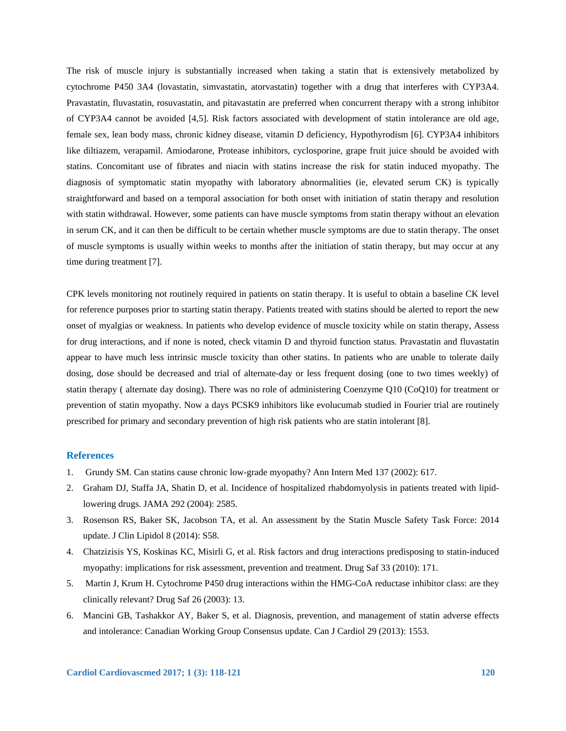The risk of muscle injury is substantially increased when taking a statin that is extensively metabolized by cytochrome P450 3A4 (lovastatin, simvastatin, atorvastatin) together with a drug that interferes with CYP3A4. Pravastatin, fluvastatin, rosuvastatin, and pitavastatin are preferred when concurrent therapy with a strong inhibitor of CYP3A4 cannot be avoided [4,5]. Risk factors associated with development of statin intolerance are old age, female sex, lean body mass, chronic kidney disease, vitamin D deficiency, Hypothyrodism [6]. CYP3A4 inhibitors like diltiazem, verapamil. Amiodarone, Protease inhibitors, cyclosporine, grape fruit juice should be avoided with statins. Concomitant use of fibrates and niacin with statins increase the risk for statin induced myopathy. The diagnosis of symptomatic statin myopathy with laboratory abnormalities (ie, elevated serum CK) is typically straightforward and based on a temporal association for both onset with initiation of statin therapy and resolution with statin withdrawal. However, some patients can have muscle symptoms from statin therapy without an elevation in serum CK, and it can then be difficult to be certain whether muscle symptoms are due to statin therapy. The onset of muscle symptoms is usually within weeks to months after the initiation of statin therapy, but may occur at any time during treatment [7].

CPK levels monitoring not routinely required in patients on statin therapy. It is useful to obtain a baseline CK level for reference purposes prior to starting statin therapy. Patients treated with statins should be alerted to report the new onset of myalgias or weakness. In patients who develop evidence of muscle toxicity while on statin therapy, Assess for drug interactions, and if none is noted, check vitamin D and thyroid function status. Pravastatin and fluvastatin appear to have much less intrinsic muscle toxicity than other statins. In patients who are unable to tolerate daily dosing, dose should be decreased and trial of alternate-day or less frequent dosing (one to two times weekly) of statin therapy ( alternate day dosing). There was no role of administering Coenzyme Q10 (CoQ10) for treatment or prevention of statin myopathy. Now a days PCSK9 inhibitors like evolucumab studied in Fourier trial are routinely prescribed for primary and secondary prevention of high risk patients who are statin intolerant [8].

### **References**

- 1. Grundy SM. Can statins cause chronic low-grade myopathy? Ann Intern Med 137 (2002): 617.
- 2. Graham DJ, Staffa JA, Shatin D, et al. Incidence of hospitalized rhabdomyolysis in patients treated with lipidlowering drugs. JAMA 292 (2004): 2585.
- 3. Rosenson RS, Baker SK, Jacobson TA, et al. An assessment by the Statin Muscle Safety Task Force: 2014 update. J Clin Lipidol 8 (2014): S58.
- 4. Chatzizisis YS, Koskinas KC, Misirli G, et al. Risk factors and drug interactions predisposing to statin-induced myopathy: implications for risk assessment, prevention and treatment. Drug Saf 33 (2010): 171.
- 5. Martin J, Krum H. Cytochrome P450 drug interactions within the HMG-CoA reductase inhibitor class: are they clinically relevant? Drug Saf 26 (2003): 13.
- 6. Mancini GB, Tashakkor AY, Baker S, et al. Diagnosis, prevention, and management of statin adverse effects and intolerance: Canadian Working Group Consensus update. Can J Cardiol 29 (2013): 1553.